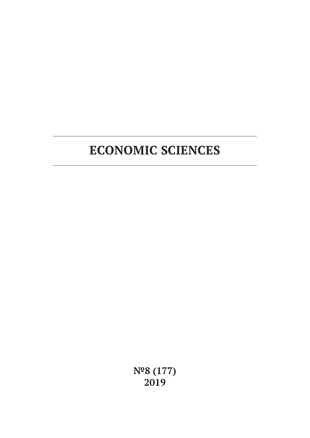# **ECONOMIC SCIENCES**

**№8 (177) 2019**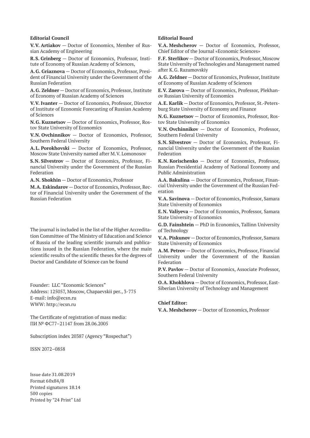#### **Editorial Council**

**V.V. Artiakov** — Doctor of Economics, Member of Russian Academy of Engineering

**R.S. Grinberg** — Doctor of Economics, Professor, Institute of Economy of Russian Academy of Sciences,

**A.G. Griaznova** — Doctor of Economics, Professor, President of Financial University under the Government of the Russian Federation

**A.G. Zeldner** — Doctor of Economics, Professor, Institute of Economy of Russian Academy of Sciences

**V.V. Ivanter** — Doctor of Economics, Professor, Director of Institute of Economic Forecasting of Russian Academy of Sciences

**N.G. Kuznetsov** — Doctor of Economics, Professor, Rostov State University of Economics

**V.N. Ovchinnikov** — Doctor of Economics, Professor, Southern Federal University

**A.L. Porokhovski** — Doctor of Economics, Professor, Moscow State University named after M.V. Lomonosov

**S.N. Silvestrov** — Doctor of Economics, Professor, Financial University under the Government of the Russian Federation

**A.N. Shokhin** — Doctor of Economics, Professor

**M.A. Eskindarov** — Doctor of Economics, Professor, Rector of Financial University under the Government of the Russian Federation

The journal is included in the list of the Higher Accreditation Committee of The Ministry of Education and Science of Russia of the leading scientific journals and publications issued in the Russian Federation, where the main scientific results of the scientific theses for the degrees of Doctor and Candidate of Science can be found

Founder: LLC "Economic Sciences" Address: 125057, Moscow, Chapaevskii per., 3-775 E-mail: info@ecsn.ru WWW: http://ecsn.ru

The Certificate of registration of mass media: ПИ № ФС77–21147 from 28.06.2005

Subscription index 20387 (Agency "Rospechat")

ISSN 2072–0858

Issue date 31.08.2019 Format 60х84/8 Printed signatures 18.14 500 copies Printed by "24 Print" Ltd

#### **Editorial Board**

**V.A. Meshcherov** — Doctor of Economics, Professor, Chief Editor of the Journal «Economic Sciences»

**F.F. Sterlikov** — Doctor of Economics, Professor, Moscow State University of Technologies and Management named after K.G. Razumovskiy

**A.G. Zeldner** — Doctor of Economics, Professor, Institute of Economy of Russian Academy of Sciences

**E.V. Zarova** — Doctor of Economics, Professor, Plekhanov Russian University of Economics

**A.E. Karlik** — Doctor of Economics, Professor, St.-Petersburg State University of Economy and Finance

**N.G. Kuznetsov** — Doctor of Economics, Professor, Rostov State University of Economics

**V.N. Ovchinnikov** — Doctor of Economics, Professor, Southern Federal University

**S.N. Silvestrov** — Doctor of Economics, Professor, Financial University under the Government of the Russian Federation

**K.N. Korischenko** — Doctor of Economics, Professor, Russian Presidential Academy of National Economy and Public Administration

**A.A. Bakulina** — Doctor of Economics, Professor, Financial University under the Government of the Russian Federation

**V.A. Savinova** — Doctor of Economics, Professor, Samara State University of Economics

**E.N. Valiyeva** — Doctor of Economics, Professor, Samara State University of Economics

**G.D. Fainshtein** — PhD in Economics, Tallinn University of Technology

**V.A. Piskunov** — Doctor of Economics, Professor, Samara State University of Economics

**A.M. Petrov** — Doctor of Economics, Professor, Financial University under the Government of the Russian Federation

**P.V. Pavlov** — Doctor of Economics, Associate Professor, Southern Federal University

**O.A. Khokhlova** — Doctor of Economics, Professor, East-Siberian University of Technology and Management

#### **Chief Editor:**

**V.A. Meshcherov** — Doctor of Economics, Professor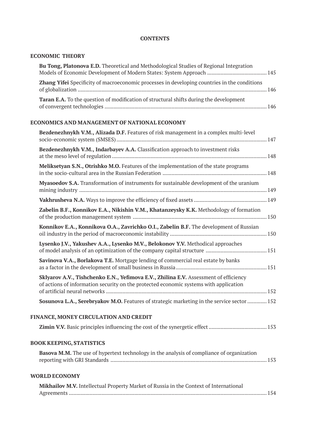# **CONTENTS**

# **ECONOMIC THEORY**

| Bu Tong, Platonova E.D. Theoretical and Methodological Studies of Regional Integration                                                                                        |  |
|-------------------------------------------------------------------------------------------------------------------------------------------------------------------------------|--|
| Zhang Yifei Specificity of macroeconomic processes in developing countries in the conditions                                                                                  |  |
| Taran E.A. To the question of modification of structural shifts during the development                                                                                        |  |
| ECONOMICS AND MANAGEMENT OF NATIONAL ECONOMY                                                                                                                                  |  |
| Bezdenezhnykh V.M., Alizada D.F. Features of risk management in a complex multi-level                                                                                         |  |
| Bezdenezhnykh V.M., Indarbayev A.A. Classification approach to investment risks                                                                                               |  |
| Meliksetyan S.N., Otrishko M.O. Features of the implementation of the state programs                                                                                          |  |
| Myasoedov S.A. Transformation of instruments for sustainable development of the uranium                                                                                       |  |
|                                                                                                                                                                               |  |
| Zabelin B.F., Konnikov E.A., Nikishin V.M., Khatanzeysky K.K. Methodology of formation                                                                                        |  |
| Konnikov E.A., Konnikova O.A., Zavrichko O.I., Zabelin B.F. The development of Russian                                                                                        |  |
| Lysenko J.V., Yakushev A.A., Lysenko M.V., Belokonov Y.V. Methodical approaches                                                                                               |  |
| Savinova V.A., Borlakova T.E. Mortgage lending of commercial real estate by banks                                                                                             |  |
| Sklyarov A.V., Tishchenko E.N., Yefimova E.V., Zhilina E.V. Assessment of efficiency<br>of actions of information security on the protected economic systems with application |  |
| Sosunova L.A., Serebryakov M.O. Features of strategic marketing in the service sector  152                                                                                    |  |
| FINANCE, MONEY CIRCULATION AND CREDIT                                                                                                                                         |  |
|                                                                                                                                                                               |  |
| <b>BOOK KEEPING, STATISTICS</b>                                                                                                                                               |  |
| Basova M.M. The use of hypertext technology in the analysis of compliance of organization                                                                                     |  |
| <b>WORLD ECONOMY</b>                                                                                                                                                          |  |
| Mikhailov M.V. Intellectual Property Market of Russia in the Context of International                                                                                         |  |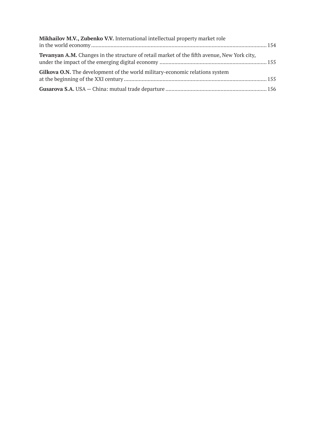| Mikhailov M.V., Zubenko V.V. International intellectual property market role                       |  |
|----------------------------------------------------------------------------------------------------|--|
| <b>Tevanyan A.M.</b> Changes in the structure of retail market of the fifth avenue, New York city, |  |
| Gilkova O.N. The development of the world military-economic relations system                       |  |
|                                                                                                    |  |
|                                                                                                    |  |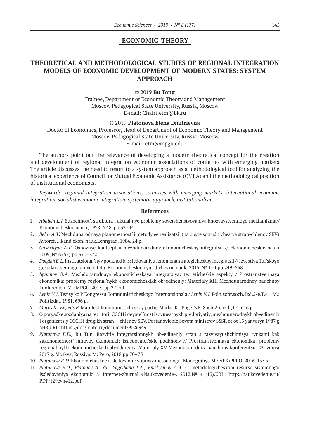### **ECONOMIC THEORY**

# **THEORETICAL AND METHODOLOGICAL STUDIES OF REGIONAL INTEGRATION MODELS OF ECONOMIC DEVELOPMENT OF MODERN STATES: SYSTEM APPROACH**

#### ©© 2019 **Bu Tong**

Trainee, Department of Economic Theory and Management Moscow Pedagogical State University, Russia, Moscow E‑mail: Chairt.etm@bk.ru

©© 2019 **Platonova Elena Dmitrievna**

Doctor of Economics, Professor, Head of Department of Economic Theory and Management Moscow Pedagogical State University, Russia, Moscow E‑mail: etm@mpgu.edu

The authors point out the relevance of developing a modern theoretical concept for the creation and development of regional integration economic associations of countries with emerging markets. The article discusses the need to resort to a system approach as a methodological tool for analyzing the historical experience of Council for Mutual Economic Assistance (CMEA) and the methodological position of institutional economists.

*Keywords: regional integration associations, countries with emerging markets, international economic integration, socialist economic integration, systematic approach, institutionalism*

- 1. *Abalkin L.I.* Sushchnost', struktura i aktual'nye problemy sovershenstvovaniya khozyaystvennogo mekhanizma// Ekonomicheskie nauki, 1978, № 8, pp.33–44.
- 2. *Belov A.V.* Mezhdunarodnaya planomernost' i metody ee realizatsii (na opyte sotrudnichestva stran-chlenov SEV). Avtoref. …kand.ekon. nauk.Lenngrad, 1984. 24 p.
- 3. *Gushchyan A.F.*  Osnovnye kontseptsii mezhdunarodnoy ekonomicheskoy integratsii // Ekonomicheskie nauki, 2009, № 6 (55).pp.370–372.
- 4. *Dolgikh E.L.* Institutsional'nyy podkhod k issledovaniyu fenomena strategicheskoy integratsii // Izvestiya Tul'skogo gosudarstvennogo universiteta. Ekonomicheskie i yuridicheskie nauki.2015, № 1–4.pp.249–258
- 5. *Igumnov O.A.*  Mezhdunarodnaya ekonomicheskaya integratsiya: teoreticheskie aspekty / Prostranstvennaya ekonomika: problemy regional'nykh ekonomicheskikh ob»edineniy: Materialy XIII Mezhdunarodnoy nauchnoy konferentsii. M.: MPGU, 2015. pp.27–50
- 6. *Lenin V.I.* Tezisy ko P Kongressu Kommunisticheskogo Internatsionala / *Lenin V.I.* Poln.sobr.soch. Izd.5-e.T.41. M.: Politizdat, 1981. 696 p.
- 7. *Marks K., Engel's F*. Manifest Kommunisticheskoy partii/ Marks K., Engel's F. Soch.2-e izd., t.4. 616 p.
- 8. O poryadke sozdaniya na territorii CCCH i deyatel'nosti sovmestnykh predpriyatiy, mezhdunarodnykh ob»edineniy i organizatsiy CCCH i drugikh stran — chlenov SEV. Postanovlenie Soveta ministrov SSSR ot ot 13 yanvarya 1987 g. N48.URL: https://docs.cntd.ru/document/9026949
- 9. *Platonova E.D.,* Bu Tun. Razvitie integratsionnykh ob»edineniy stran s razvivayushchimisya rynkami kak zakonomernost' mirovoy ekonomiki: issledovatel'skie podkhody // Prostranstvennaya ekonomika: problemy regional'nykh ekonomicheskikh ob»edineniy: Materialy XV Mezhdunarodnoy nauchnoy konferentsii. 23 iyunya 2017 g. Moskva, Rossiya. M: Pero, 2018.pp.70–73
- 10. *Platonova E.D.* Ekonomicheskoe issledovanie: voprosy metodologii. Monografiya.M.: APKiPPRO, 2016. 135 s.
- 11. *Platonova E.D., Platonov A. Yu., Yagodkina I.A., Emel'yanov A.A.* O metodologicheskom resurse sistemnogo issledovaniya ekonomiki // Internet-zhurnal «Naukovedenie». 2012.№ 4 (13).URL: http://naukovedenie.ru/ PDF/129evn412.pdf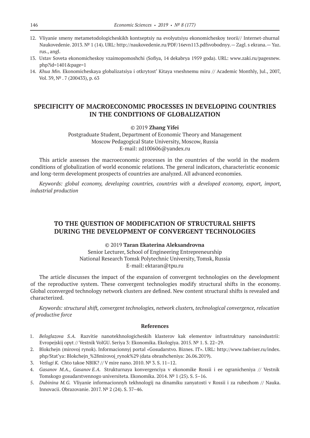- 12. Vliyanie smeny metametodologicheskikh kontseptsiy na evolyutsiyu ekonomicheskoy teorii// Internet-zhurnal Naukovedenie. 2013. № 1 (14). URL: http://naukovedenie.ru/PDF/16evn113.pdfsvobodnyy.— Zagl. s ekrana.— Yaz. rus., angl.
- 13. Ustav Soveta ekonomicheskoy vzaimopomoshchi (Sofiya, 14 dekabrya 1959 goda). URL: www.zaki.ru/pagesnew. php?id=1401&page=1
- 14. *Khua Min.* Ekonomicheskaya globalizatsiya i otkrytost' Kitaya vneshnemu miru // Academic Monthly, Jul., 2007, Vol. 39, № . 7 (200433), p. 63

# **SPECIFICITY OF MACROECONOMIC PROCESSES IN DEVELOPING COUNTRIES IN THE CONDITIONS OF GLOBALIZATION**

©© 2019 **Zhang Yifei**

Postgraduate Student, Department of Economic Theory and Management Moscow Pedagogical State University, Moscow, Russia E‑mail: zd100606@yandex.ru

This article assesses the macroeconomic processes in the countries of the world in the modern conditions of globalization of world economic relations. The general indicators, characteristic economic and long-term development prospects of countries are analyzed. All advanced economies.

*Keywords: global economy, developing countries, countries with a developed economy, export, import, industrial production*

# **TO THE QUESTION OF MODIFICATION OF STRUCTURAL SHIFTS DURING THE DEVELOPMENT OF CONVERGENT TECHNOLOGIES**

©© 2019 **Taran Ekaterina Aleksandrovna**

Senior Lecturer, School of Engineering Entrepreneurship National Research Tomsk Polytechnic University, Tomsk, Russia E‑mail: ektaran@tpu.ru

The article discusses the impact of the expansion of convergent technologies on the development of the reproductive system. These convergent technologies modify structural shifts in the economy. Global cconverged technology network clusters are defined. New content structural shifts is revealed and characterized.

*Keywords: structural shift, convergent technologies, network clusters, technological convergence, relocation of productive force*

- 1. *Beloglazova S.A.* Razvitie nanotekhnologicheskih klasterov kak elementov infrastruktury nanoindustrii: Evropejskij opyt // Vestnik VolGU. Seriya 3: Ekonomika. Ekologiya. 2015. № 1. S. 22–29.
- 2. Blokchejn (mirovoj rynok). Informacionnyj portal «Gosudarstvo. Biznes. IT». URL: http://www.tadviser.ru/index. php/Stat'ya: Blokchejn\_%28mirovoj\_rynok%29 (data obrashcheniya: 26.06.2019).
- 3. *Vetlugi K.* Chto takoe NBIK? // V mire nano. 2010. № 3. S. 11–12.
- 4. *Gasanov M.A., Gasanov E.A.* Strukturnaya konvergenciya v ekonomike Rossii i ee ogranicheniya // Vestnik Tomskogo gosudarstvennogo universiteta. Ekonomika. 2014. № 1 (25). S. 5–16.
- 5. *Dubinina M.G.* Vliyanie informacionnyh tekhnologij na dinamiku zanyatosti v Rossii i za rubezhom // Nauka. Innovacii. Obrazovanie. 2017. № 2 (24). S. 37–46.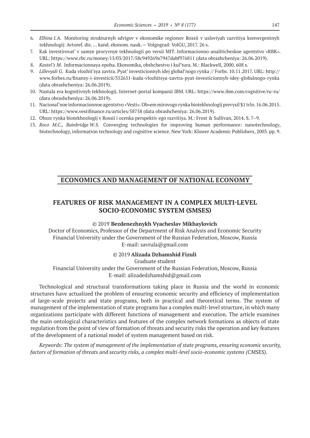- 6. *Elhina I.A.* Monitoring strukturnyh sdvigov v ekonomike regionov Rossii v usloviyah razvitiya konvergentnyh tekhnologij: Avtoref. dis. … kand. ekonom. nauk.— Volgograd: VolGU, 2017. 26 s.
- 7. Kak investirovat' v samye proryvnye tekhnologii po versii MIT. Informacionno-analiticheskoe agentstvo «RBK». URL: https://www.rbc.ru/money/15/03/2017/58c949269a7947dabf976811 (data obrashcheniya: 26.06.2019).
- 8. *Kastel's M*. Informacionnaya epoha. Ekonomika, obshchestvo i kul'tura. M.: Blackwell, 2000. 608 s.
- 9. *Lillevyali G.* Kuda vlozhit'sya zavtra. Pyat' investicionnyh idej global'nogo rynka // Forbs. 10.11.2017. URL: http:// www.forbes.ru/finansy-i-investicii/352651-kuda-vlozhitsya-zavtra-pyat-investicionnyh-idey-globalnogo-rynka (data obrashcheniya: 26.06.2019).
- 10. Nastala era kognitivnyh tekhnologij. Internet-portal kompanii IBM. URL: https://www.ibm.com/cognitive/ru-ru/ (data obrashcheniya: 26.06.2019).
- 11. Nacional'noe informacionnoe agentstvo «Vesti». Ob»em mirovogo rynka biotekhnologij prevysil \$1 trln. 16.06.2015. URL: https://www.vestifinance.ru/articles/58758 (data obrashcheniya: 26.06.2019).
- 12. Obzor rynka biotekhnologij v Rossii i ocenka perspektiv ego razvitiya. M.: Frost & Sullivan, 2014. S. 7–9.
- 13. *Roco M.C., Bainbridge W.S.* Converging technologies for improving human performance: nanotechnology, biotechnology, information technology and cognitive science. New York: Kluwer Academic Publishers, 2003. pp. 9.

### **ECONOMICS AND MANAGEMENT OF NATIONAL ECONOMY**

# **FEATURES OF RISK MANAGEMENT IN A COMPLEX MULTI-LEVEL SOCIO-ECONOMIC SYSTEM (SMSES)**

#### ©© 2019 **Bezdenezhnykh Vyacheslav Mikhaylovich**

Doctor of Economics, Professor of the Department of Risk Analysis and Economic Security Financial University under the Government of the Russian Federation, Moscow, Russia E-mail: savrula@gmail.com

#### ©© 2019 **Alizada Dzhamshid Fizuli**

Graduate student

Financial University under the Government of the Russian Federation, Moscow, Russia E-mail: alizadedzhamshid@gmail.com

Technological and structural transformations taking place in Russia and the world in economic structures have actualized the problem of ensuring economic security and efficiency of implementation of large-scale projects and state programs, both in practical and theoretical terms. The system of management of the implementation of state programs has a complex multi-level structure, in which many organizations participate with different functions of management and execution. The article examines the main ontological characteristics and features of the complex network formations as objects of state regulation from the point of view of formation of threats and security risks the operation and key features of the development of a national model of system management based on risk.

*Keywords: The system of management of the implementation of state programs, ensuring economic security, factors of formation of threats and security risks, a complex multi-level socio-economic systems (CMSES).*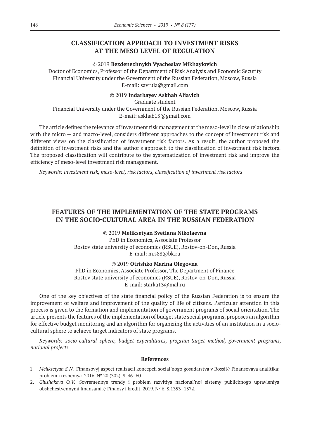### **CLASSIFICATION APPROACH TO INVESTMENT RISKS AT THE MESO LEVEL OF REGULATION**

#### ©© 2019 **Bezdenezhnykh Vyacheslav Mikhaylovich**

Doctor of Economics, Professor of the Department of Risk Analysis and Economic Security Financial University under the Government of the Russian Federation, Moscow, Russia E-mail: savrula@gmail.com

### ©© 2019 **Indarbayev Askhab Aliavich**

Graduate student Financial University under the Government of the Russian Federation, Moscow, Russia E‑mail: askhab13@gmail.com

The article defines the relevance of investment risk management at the meso-level in close relationship with the micro — and macro-level, considers different approaches to the concept of investment risk and different views on the classification of investment risk factors. As a result, the author proposed the definition of investment risks and the author's approach to the classification of investment risk factors. The proposed classification will contribute to the systematization of investment risk and improve the efficiency of meso-level investment risk management.

*Keywords: investment risk, meso-level, risk factors, classification of investment risk factors*

# **FEATURES OF THE IMPLEMENTATION OF THE STATE PROGRAMS IN THE SOCIO-CULTURAL AREA IN THE RUSSIAN FEDERATION**

©© 2019 **Meliksetyan Svetlana Nikolaevna** PhD in Economics, Associate Professor Rostov state university of economics (RSUE), Rostov-on-Don, Russia E‑mail: m.s88@bk.ru

©© 2019 **Otrishko Marina Olegovna**

PhD in Economics, Associate Professor, The Department of Finance Rostov state university of economics (RSUE), Rostov-on-Don, Russia E‑mail: starka13@mal.ru

One of the key objectives of the state financial policy of the Russian Federation is to ensure the improvement of welfare and improvement of the quality of life of citizens. Particular attention in this process is given to the formation and implementation of government programs of social orientation. The article presents the features of the implementation of budget state social programs, proposes an algorithm for effective budget monitoring and an algorithm for organizing the activities of an institution in a sociocultural sphere to achieve target indicators of state programs.

*Keywords: socio-cultural sphere, budget expenditures, program-target method, government programs, national projects*

- 1. *Meliksetyan S.N.* Finansovyj aspect realizacii koncepcii social'nogo gosudarstva v Rossii// Finansovaya analitika: problem i resheniya. 2016. № 20 (302). S. 46–60.
- 2. *Glushakova O.V.* Sovremennye trendy i problem razvitiya nacional'noj sistemy publichnogo upravleniya obshchestvennymi finansami // Finansy i kredit. 2019. № 6. S.1353–1372.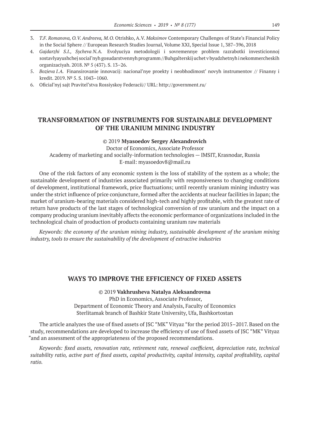- 3. *T.F. Romanova, O.V. Andreeva, M.O.* Otrishko, A.V. *Maksimov* Contemporary Challenges of State's Financial Policy in the Social Sphere // European Research Studies Journal, Volume XXI, Special Issue 1, 387–396, 2018
- 4. *Gajdarzhi S.I., Sycheva N.A.* Evolyuciya metodologii i sovremennye problem razrabotki investicionnoj sostavlyayushchej social'nyh gosudarstvennyh programm //Buhgalterskij uchet v byudzhetnyh i nekommercheskih organizaciyah. 2018. № 5 (437). S. 13–26.
- 5. *Bozieva I.A.* Finansirovanie innovacij: nacional'nye proekty i neobhodimost' novyh instrumentov // Finansy i kredit. 2019. № 5. S. 1043–1060.
- 6. Oficial'nyj sajt Pravitel'stva Rossiyskoy Federacii// URL: http://government.ru/

### **TRANSFORMATION OF INSTRUMENTS FOR SUSTAINABLE DEVELOPMENT OF THE URANIUM MINING INDUSTRY**

#### ©© 2019 **Myasoedov Sergey Alexandrovich**

Doctor of Economics, Associate Professor Academy of marketing and socially-information technologies — IMSIT, Krasnodar, Russia E-mail: myasoedov8@mail.ru

Оne of the risk factors of any economic system is the loss of stability of the system as a whole; the sustainable development of industries associated primarily with responsiveness to changing conditions of development, institutional framework, price fluctuations; until recently uranium mining industry was under the strict influence of price conjuncture, formed after the accidents at nuclear facilities in Japan; the market of uranium-bearing materials considered high-tech and highly profitable, with the greatest rate of return have products of the last stages of technological conversion of raw uranium and the impact on a company producing uranium inevitably affects the economic performance of organizations included in the technological chain of production of products containing uranium raw materials

*Keywords: the economy of the uranium mining industry, sustainable development of the uranium mining industry, tools to ensure the sustainability of the development of extractive industries*

### **WAYS TO IMPROVE THE EFFICIENCY OF FIXED ASSETS**

©© 2019 **Vakhrusheva Natalya Aleksandrovna** PhD in Economics, Associate Professor, Department of Economic Theory and Analysis, Faculty of Economics Sterlitamak branch of Bashkir State University, Ufa, Bashkortostan

The article analyzes the use of fixed assets of JSC "MK" Vityaz "for the period 2015–2017. Based on the study, recommendations are developed to increase the efficiency of use of fixed assets of JSC "MK" Vityaz "and an assessment of the appropriateness of the proposed recommendations.

*Keywords: fixed assets, renovation rate, retirement rate, renewal coefficient, depreciation rate, technical suitability ratio, active part of fixed assets, capital productivity, capital intensity, capital profitability, capital ratio.*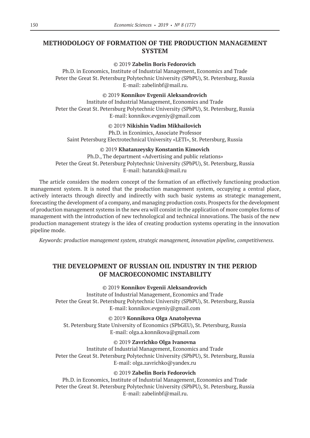# **METHODOLOGY OF FORMATION OF THE PRODUCTION MANAGEMENT SYSTEM**

### ©© 2019 **Zabelin Boris Fedorovich**

Ph.D. in Economics, Institute of Industrial Management, Economics and Trade Peter the Great St. Petersburg Polytechnic University (SPbPU), St. Petersburg, Russia E‑mail: zabelinbf@mail.ru.

©© 2019 **Konnikov Evgenii Aleksandrovich**

Institute of Industrial Management, Economics and Trade Peter the Great St. Petersburg Polytechnic University (SPbPU), St. Petersburg, Russia E‑mail: konnikov.evgeniy@gmail.com

### ©© 2019 **Nikishin Vadim Mikhailovich**

Ph.D. in Econimics, Associate Professor

Saint Petersburg Electrotechnical University «LETI», St. Petersburg, Russia

### ©© 2019 **Khatanzeysky Konstantin Kimovich**

Ph.D., The department «Advertising and public relations» Peter the Great St. Petersburg Polytechnic University (SPbPU), St. Petersburg, Russia E‑mail: hatanzkk@mail.ru

The article considers the modern concept of the formation of an effectively functioning production management system. It is noted that the production management system, occupying a central place, actively interacts through directly and indirectly with such basic systems as strategic management, forecasting the development of a company, and managing production costs. Prospects for the development of production management systems in the new era will consist in the application of more complex forms of management with the introduction of new technological and technical innovations. The basis of the new production management strategy is the idea of creating production systems operating in the innovation pipeline mode.

*Keywords: production management system, strategic management, innovation pipeline, competitiveness.*

# **THE DEVELOPMENT OF RUSSIAN OIL INDUSTRY IN THE PERIOD OF MACROECONOMIC INSTABILITY**

#### ©© 2019 **Konnikov Evgenii Aleksandrovich**

Institute of Industrial Management, Economics and Trade Peter the Great St. Petersburg Polytechnic University (SPbPU), St. Petersburg, Russia E‑mail: konnikov.evgeniy@gmail.com

©© 2019 **Konnikova Olga Anatolyevna**

St. Petersburg State University of Economics (SPbGEU), St. Petersburg, Russia E‑mail: olga.a.konnikova@gmail.com

### ©© 2019 **Zavrichko Olga Ivanovna**

Institute of Industrial Management, Economics and Trade Peter the Great St. Petersburg Polytechnic University (SPbPU), St. Petersburg, Russia E‑mail: olga.zavrichko@yandex.ru

### ©© 2019 **Zabelin Boris Fedorovich**

Ph.D. in Economics, Institute of Industrial Management, Economics and Trade Peter the Great St. Petersburg Polytechnic University (SPbPU), St. Petersburg, Russia E‑mail: zabelinbf@mail.ru.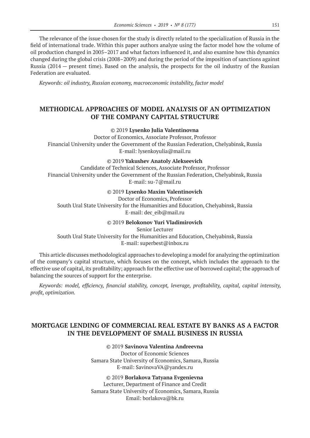The relevance of the issue chosen for the study is directly related to the specialization of Russia in the field of international trade. Within this paper authors analyze using the factor model how the volume of oil production changed in 2005–2017 and what factors influenced it, and also examine how this dynamics changed during the global crisis (2008–2009) and during the period of the imposition of sanctions against Russia (2014 — present time). Based on the analysis, the prospects for the oil industry of the Russian Federation are evaluated.

*Keywords: oil industry, Russian economy, macroeconomic instability, factor model*

# **METHODICAL APPROACHES OF MODEL ANALYSIS OF AN OPTIMIZATION OF THE COMPANY CAPITAL STRUCTURE**

#### ©© 2019 **Lysenko Julia Valentinovna**

Doctor of Economics, Associate Professor, Professor Financial University under the Government of the Russian Federation, Chelyabinsk, Russia E‑mail: lysenkoyulia@mail.ru

### ©© 2019 **Yakushev Anatoly Alekseevich**

Candidate of Technical Sciences, Associate Professor, Professor Financial University under the Government of the Russian Federation, Chelyabinsk, Russia E-mail: su-7@mail.ru

#### ©© 2019 **Lysenko Maxim Valentinovich**

Doctor of Economics, Professor South Ural State University for the Humanities and Education, Chelyabinsk, Russia E‑mail: dec\_eib@mail.ru

#### ©© 2019 **Belokonov Yuri Vladimirovich**

Senior Lecturer South Ural State University for the Humanities and Education, Chelyabinsk, Russia E‑mail: superbest@inbox.ru

This article discusses methodological approaches to developing a model for analyzing the optimization of the company's capital structure, which focuses on the concept, which includes the approach to the effective use of capital, its profitability; approach for the effective use of borrowed capital; the approach of balancing the sources of support for the enterprise.

*Keywords: model, efficiency, financial stability, concept, leverage, profitability, capital, capital intensity, profit, optimization.*

# **MORTGAGE LENDING OF COMMERCIAL REAL ESTATE BY BANKS AS A FACTOR IN THE DEVELOPMENT OF SMALL BUSINESS IN RUSSIA**

©© 2019 **Savinova Valentina Andreevna** Doctor of Economic Sciences Samara State University of Economics, Samara, Russia E‑mail: SavinovaVA@yandex.ru

©© 2019 **Borlakova Tatyana Evgenievna** Lecturer, Department of Finance and Credit Samara State University of Economics, Samara, Russia Email: borlakova@bk.ru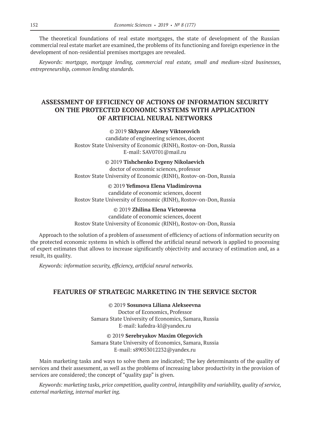The theoretical foundations of real estate mortgages, the state of development of the Russian commercial real estate market are examined, the problems of its functioning and foreign experience in the development of non-residential premises mortgages are revealed.

*Keywords: mortgage, mortgage lending, commercial real estate, small and medium-sized businesses, entrepreneurship, common lending standards.*

# **ASSESSMENT OF EFFICIENCY OF ACTIONS OF INFORMATION SECURITY ON THE PROTECTED ECONOMIC SYSTEMS WITH APPLICATION OF ARTIFICIAL NEURAL NETWORKS**

### ©© 2019 **Sklyarov Alexey Viktorovich**

candidate of engineering sciences, docent Rostov State University of Economic (RINH), Rostov-on-Don, Russia E-mail: SAV0701@mail.ru

©© 2019 **Tishchenko Evgeny Nikolaevich**

doctor of economic sciences, professor Rostov State University of Economic (RINH), Rostov-on-Don, Russia

### ©© 2019 **Yefimova Elena Vladimirovna**

candidate of economic sciences, docent Rostov State University of Economic (RINH), Rostov-on-Don, Russia

#### ©© 2019 **Zhilina Elena Victorovna**

candidate of economic sciences, docent

Rostov State University of Economic (RINH), Rostov-on-Don, Russia

Approach to the solution of a problem of assessment of efficiency of actions of information security on the protected economic systems in which is offered the artificial neural network is applied to processing of expert estimates that allows to increase significantly objectivity and accuracy of estimation and, as a result, its quality.

*Keywords: information security, efficiency, artificial neural networks.*

### **FEATURES OF STRATEGIC MARKETING IN THE SERVICE SECTOR**

©© 2019 **Sosunova Liliana Alekseevna** Doctor of Economics, Professor Samara State University of Economics, Samara, Russia E‑mail: kafedra-kl@yandex.ru

©© 2019 **Serebryakov Maxim Olegovich** Samara State University of Economics, Samara, Russia E‑mail: s89053012232@yandex.ru

Main marketing tasks and ways to solve them are indicated; The key determinants of the quality of services and their assessment, as well as the problems of increasing labor productivity in the provision of services are considered; the concept of "quality gap" is given.

*Keywords: marketing tasks, price competition, quality control, intangibility and variability, quality of service, external marketing, internal market ing.*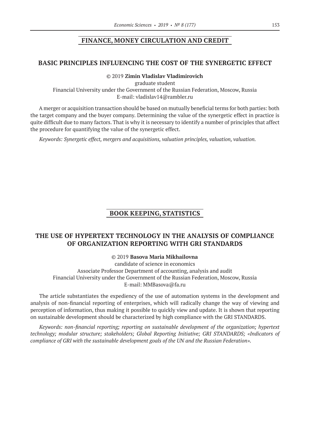### **FINANCE, MONEY CIRCULATION AND CREDIT**

### **BASIC PRINCIPLES INFLUENCING THE COST OF THE SYNERGETIC EFFECT**

### ©© 2019 **Zimin Vladislav Vladimirovich**

graduate student Financial University under the Government of the Russian Federation, Moscow, Russia E‑mail: vladislav14@rambler.ru

A merger or acquisition transaction should be based on mutually beneficial terms for both parties: both the target company and the buyer company. Determining the value of the synergetic effect in practice is quite difficult due to many factors. That is why it is necessary to identify a number of principles that affect the procedure for quantifying the value of the synergetic effect.

*Keywords: Synergetic effect, mergers and acquisitions, valuation principles, valuation, valuation.*

### **BOOK KEEPING, STATISTICS**

### **THE USE OF HYPERTEXT TECHNOLOGY IN THE ANALYSIS OF COMPLIANCE OF ORGANIZATION REPORTING WITH GRI STANDARDS**

©© 2019 **Basova Maria Mikhailovna**

candidate of science in economics Associate Professor Department of accounting, analysis and audit Financial University under the Government of the Russian Federation, Moscow, Russia E-mail: MMBasova@fa.ru

The article substantiates the expediency of the use of automation systems in the development and analysis of non-financial reporting of enterprises, which will radically change the way of viewing and perception of information, thus making it possible to quickly view and update. It is shown that reporting on sustainable development should be characterized by high compliance with the GRI STANDARDS.

*Keywords: non-financial reporting; reporting on sustainable development of the organization; hypertext technology; modular structure; stakeholders; Global Reporting Initiative; GRI STANDARDS; «Indicators of compliance of GRI with the sustainable development goals of the UN and the Russian Federation».*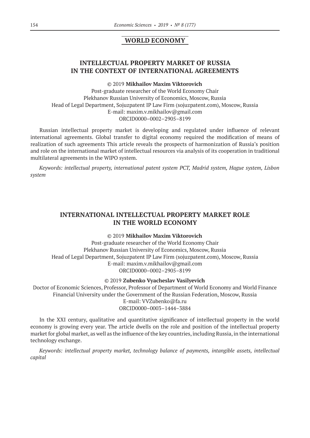### **WORLD ECONOMY**

# **INTELLECTUAL PROPERTY MARKET OF RUSSIA IN THE CONTEXT OF INTERNATIONAL AGREEMENTS**

### ©© 2019 **Mikhailov Maxim Viktorovich**

Post-graduate researcher of the World Economy Chair Plekhanov Russian University of Economics, Moscow, Russia Head of Legal Department, Sojuzpatent IP Law Firm (sojuzpatent.com), Moscow, Russia E‑mail: maxim.v.mikhailov@gmail.com ORCID0000–0002–2905–8199

Russian intellectual property market is developing and regulated under influence of relevant international agreements. Global transfer to digital economy required the modification of means of realization of such agreements This article reveals the prospects of harmonization of Russia's position and role on the international market of intellectual resources via analysis of its cooperation in traditional multilateral agreements in the WIPO system.

*Keywords: intellectual property, international patent system PCT, Madrid system, Hague system, Lisbon system*

### **INTERNATIONAL INTELLECTUAL PROPERTY MARKET ROLE IN THE WORLD ECONOMY**

### ©© 2019 **Mikhailov Maxim Viktorovich**

Post-graduate researcher of the World Economy Chair Plekhanov Russian University of Economics, Moscow, Russia Head of Legal Department, Sojuzpatent IP Law Firm (sojuzpatent.com), Moscow, Russia E‑mail: maxim.v.mikhailov@gmail.com ORCID0000–0002–2905–8199

### ©© 2019 **Zubenko Vyacheslav Vasilyevich**

Doctor of Economic Sciences, Professor, Professor of Department of World Economy and World Finance Financial University under the Government of the Russian Federation, Moscow, Russia E‑mail: VVZubenko@fa.ru ORCID0000–0003–1444–3884

In the XXI century, qualitative and quantitative significance of intellectual property in the world economy is growing every year. The article dwells on the role and position of the intellectual property market for global market, as well as the influence of the key countries, including Russia, in the international technology exchange.

*Keywords: intellectual property market, technology balance of payments, intangible assets, intellectual capital*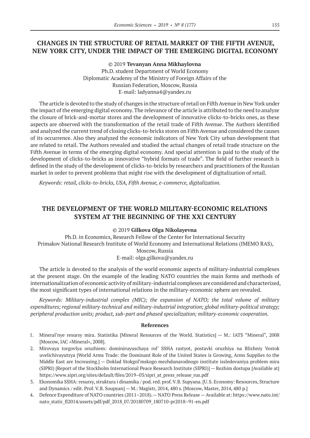# **CHANGES IN THE STRUCTURE OF RETAIL MARKET OF THE FIFTH AVENUE, NEW YORK CITY, UNDER THE IMPACT OF THE EMERGING DIGITAL ECONOMY**

©© 2019 **Tevanyan Anna Mikhaylovna** Ph.D. student Department of World Economy Diplomatic Academy of the Ministry of Foreign Affairs of the Russian Federation, Moscow, Russia E‑mail: ladyanna4@yandex.ru

The article is devoted to the study of changes in the structure of retail on Fifth Avenue in New York under the impact of the emerging digital economy. The relevance of the article is attributed to the need to analyze the closure of brick-and-mortar stores and the development of innovative clicks-to-bricks ones, as these aspects are observed with the transformation of the retail trade of Fifth Avenue. The Authors identified and analyzed the current trend of closing clicks-to-bricks stores on Fifth Avenue and considered the causes of its occurrence. Also they analyzed the economic indicators of New York City urban development that are related to retail. The Authors revealed and studied the actual changes of retail trade structure on the Fifth Avenue in terms of the emerging digital economy. And special attention is paid to the study of the development of clicks-to-bricks as innovative "hybrid formats of trade". The field of further research is defined in the study of the development of clicks-to-bricks by researchers and practitioners of the Russian market in order to prevent problems that might rise with the development of digitalization of retail.

*Keywords: retail, clicks-to-bricks, USA, Fifth Avenue, e-commerce, digitalization.*

# **THE DEVELOPMENT OF THE WORLD MILITARY-ECONOMIC RELATIONS SYSTEM AT THE BEGINNING OF THE XXI CENTURY**

#### ©© 2019 **Gilkova Olga Nikolayevna**

Ph.D. in Economics, Research Fellow of the Center for International Security Primakov National Research Institute of World Economy and International Relations (IMEMO RAS), Moscow, Russia E‑mail: olga.gilkova@yandex.ru

The article is devoted to the analysis of the world economic aspects of military-industrial complexes at the present stage. On the example of the leading NATO countries the main forms and methods of internationalization of economic activity of military-industrial complexes are considered and characterized, the most significant types of international relations in the military-economic sphere are revealed.

*Keywords: Military-industrial complex (MIC); the expansion of NATO; the total volume of military expenditures; regional military-technical and military-industrial integration; global military-political strategy; peripheral production units; product, sub-part and phased specialization; military-economic cooperation.*

- 1. Mineral'nye resursy mira. Statistika [Mineral Resources of the World. Statistics] M.: IATS "Mineral", 2008 [Moscow, IAC «Mineral», 2008].
- 2. Mirovaya torgovlya oruzhiem: dominiruyuschaya rol' SSHA rastyot, postavki oruzhiya na Blizhniy Vostok uvelichivayutsya [World Arms Trade: the Dominant Role of the United States is Growing, Arms Supplies to the Middle East are Increasing.] — Doklad Stokgol'mskogo mezhdunarodnogo institute issledovaniya problem mira (SIPRI) [Report of the Stockholm International Peace Research Institute (SIPRI)] — Rezhim dostupa [Available at] https://www.sipri.org/sites/default/files/2019–03/sipri\_at\_press\_release\_rus.pdf
- 3. Ekonomika SSHA: resursy, struktura i dinamika / pod. red. prof. V.B. Supyana. [U.S. Economy: Resources, Structure and Dynamics / edit. Prof. V.B. Soupyan] — M.: Magistr, 2014, 480 s. [Moscow, Master, 2014, 480 p.]
- 4. Defence Expenditure of NATO countries (2011–2018).— NATO Press Release Available at: https://www.nato.int/ nato\_static\_fl2014/assets/pdf/pdf\_2018\_07/20180709\_180710-pr2018–91-en.pdf